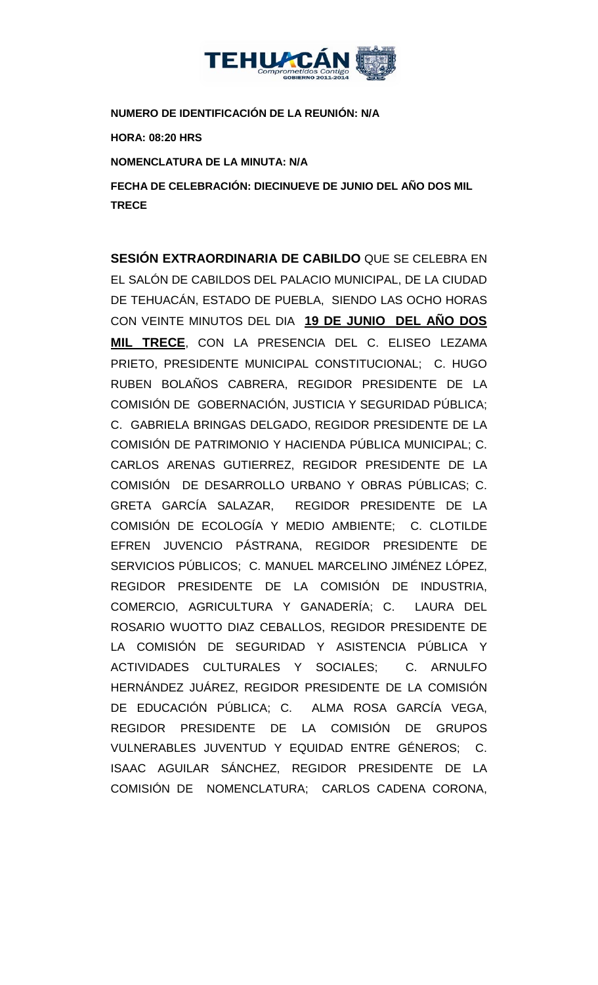

**NUMERO DE IDENTIFICACIÓN DE LA REUNIÓN: N/A**

**HORA: 08:20 HRS**

**NOMENCLATURA DE LA MINUTA: N/A**

**FECHA DE CELEBRACIÓN: DIECINUEVE DE JUNIO DEL AÑO DOS MIL TRECE** 

**SESIÓN EXTRAORDINARIA DE CABILDO** QUE SE CELEBRA EN EL SALÓN DE CABILDOS DEL PALACIO MUNICIPAL, DE LA CIUDAD DE TEHUACÁN, ESTADO DE PUEBLA, SIENDO LAS OCHO HORAS CON VEINTE MINUTOS DEL DIA **19 DE JUNIO DEL AÑO DOS MIL TRECE**, CON LA PRESENCIA DEL C. ELISEO LEZAMA PRIETO, PRESIDENTE MUNICIPAL CONSTITUCIONAL; C. HUGO RUBEN BOLAÑOS CABRERA, REGIDOR PRESIDENTE DE LA COMISIÓN DE GOBERNACIÓN, JUSTICIA Y SEGURIDAD PÚBLICA; C. GABRIELA BRINGAS DELGADO, REGIDOR PRESIDENTE DE LA COMISIÓN DE PATRIMONIO Y HACIENDA PÚBLICA MUNICIPAL; C. CARLOS ARENAS GUTIERREZ, REGIDOR PRESIDENTE DE LA COMISIÓN DE DESARROLLO URBANO Y OBRAS PÚBLICAS; C. GRETA GARCÍA SALAZAR, REGIDOR PRESIDENTE DE LA COMISIÓN DE ECOLOGÍA Y MEDIO AMBIENTE; C. CLOTILDE EFREN JUVENCIO PÁSTRANA, REGIDOR PRESIDENTE DE SERVICIOS PÚBLICOS; C. MANUEL MARCELINO JIMÉNEZ LÓPEZ, REGIDOR PRESIDENTE DE LA COMISIÓN DE INDUSTRIA, COMERCIO, AGRICULTURA Y GANADERÍA; C. LAURA DEL ROSARIO WUOTTO DIAZ CEBALLOS, REGIDOR PRESIDENTE DE LA COMISIÓN DE SEGURIDAD Y ASISTENCIA PÚBLICA Y ACTIVIDADES CULTURALES Y SOCIALES; C. ARNULFO HERNÁNDEZ JUÁREZ, REGIDOR PRESIDENTE DE LA COMISIÓN DE EDUCACIÓN PÚBLICA; C. ALMA ROSA GARCÍA VEGA, REGIDOR PRESIDENTE DE LA COMISIÓN DE GRUPOS VULNERABLES JUVENTUD Y EQUIDAD ENTRE GÉNEROS; C. ISAAC AGUILAR SÁNCHEZ, REGIDOR PRESIDENTE DE LA COMISIÓN DE NOMENCLATURA; CARLOS CADENA CORONA,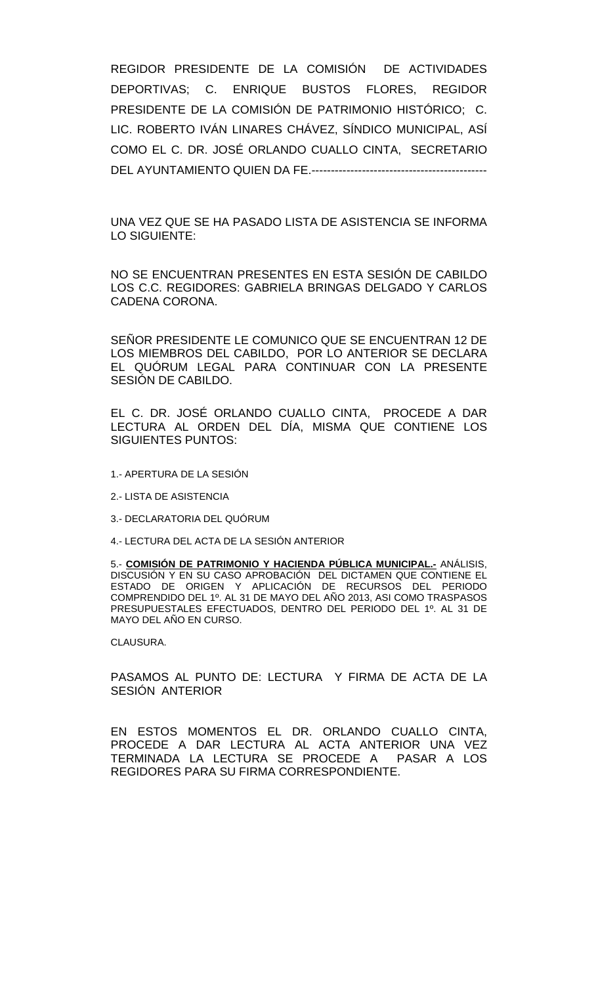REGIDOR PRESIDENTE DE LA COMISIÓN DE ACTIVIDADES DEPORTIVAS; C. ENRIQUE BUSTOS FLORES, REGIDOR PRESIDENTE DE LA COMISIÓN DE PATRIMONIO HISTÓRICO; C. LIC. ROBERTO IVÁN LINARES CHÁVEZ, SÍNDICO MUNICIPAL, ASÍ COMO EL C. DR. JOSÉ ORLANDO CUALLO CINTA, SECRETARIO DEL AYUNTAMIENTO QUIEN DA FE.---------------------------------------------

UNA VEZ QUE SE HA PASADO LISTA DE ASISTENCIA SE INFORMA LO SIGUIENTE:

NO SE ENCUENTRAN PRESENTES EN ESTA SESIÓN DE CABILDO LOS C.C. REGIDORES: GABRIELA BRINGAS DELGADO Y CARLOS CADENA CORONA.

SEÑOR PRESIDENTE LE COMUNICO QUE SE ENCUENTRAN 12 DE LOS MIEMBROS DEL CABILDO, POR LO ANTERIOR SE DECLARA EL QUÓRUM LEGAL PARA CONTINUAR CON LA PRESENTE SESIÓN DE CABILDO.

EL C. DR. JOSÉ ORLANDO CUALLO CINTA, PROCEDE A DAR LECTURA AL ORDEN DEL DÍA, MISMA QUE CONTIENE LOS SIGUIENTES PUNTOS:

- 1.- APERTURA DE LA SESIÓN
- 2.- LISTA DE ASISTENCIA
- 3.- DECLARATORIA DEL QUÓRUM
- 4.- LECTURA DEL ACTA DE LA SESIÓN ANTERIOR

5.- **COMISIÓN DE PATRIMONIO Y HACIENDA PÚBLICA MUNICIPAL.-** ANÁLISIS, DISCUSIÓN Y EN SU CASO APROBACIÓN DEL DICTAMEN QUE CONTIENE EL ESTADO DE ORIGEN Y APLICACIÓN DE RECURSOS DEL PERIODO COMPRENDIDO DEL 1º. AL 31 DE MAYO DEL AÑO 2013, ASI COMO TRASPASOS PRESUPUESTALES EFECTUADOS, DENTRO DEL PERIODO DEL 1º. AL 31 DE MAYO DEL AÑO EN CURSO.

CLAUSURA.

PASAMOS AL PUNTO DE: LECTURA Y FIRMA DE ACTA DE LA SESIÓN ANTERIOR

EN ESTOS MOMENTOS EL DR. ORLANDO CUALLO CINTA, PROCEDE A DAR LECTURA AL ACTA ANTERIOR UNA VEZ TERMINADA LA LECTURA SE PROCEDE A PASAR A LOS REGIDORES PARA SU FIRMA CORRESPONDIENTE.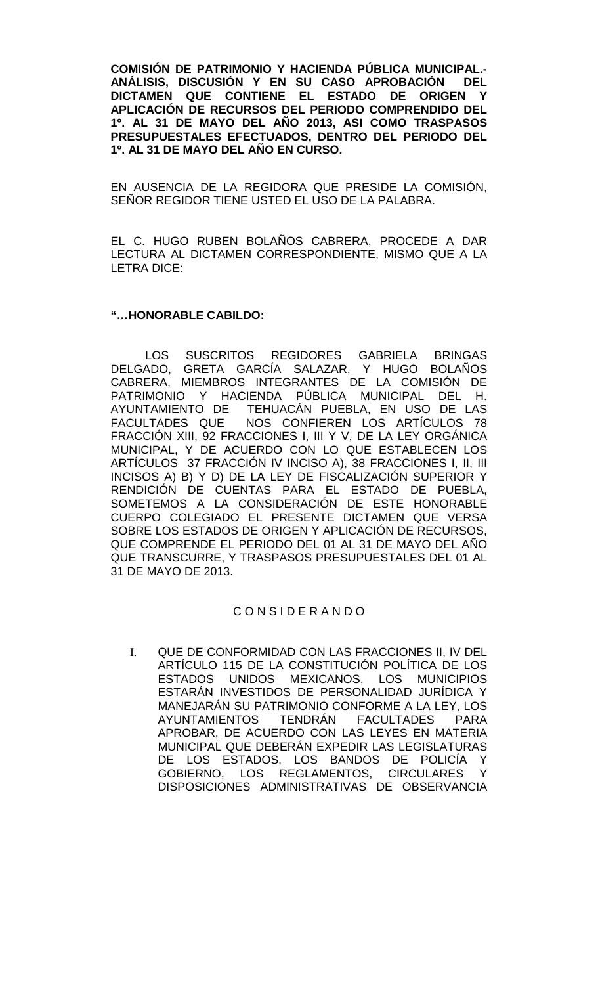**COMISIÓN DE PATRIMONIO Y HACIENDA PÚBLICA MUNICIPAL.-** ANÁLISIS, DISCUSIÓN Y EN SU CASO APROBACIÓN **DICTAMEN QUE CONTIENE EL ESTADO DE ORIGEN Y APLICACIÓN DE RECURSOS DEL PERIODO COMPRENDIDO DEL 1º. AL 31 DE MAYO DEL AÑO 2013, ASI COMO TRASPASOS PRESUPUESTALES EFECTUADOS, DENTRO DEL PERIODO DEL 1º. AL 31 DE MAYO DEL AÑO EN CURSO.**

EN AUSENCIA DE LA REGIDORA QUE PRESIDE LA COMISIÓN, SEÑOR REGIDOR TIENE USTED EL USO DE LA PALABRA.

EL C. HUGO RUBEN BOLAÑOS CABRERA, PROCEDE A DAR LECTURA AL DICTAMEN CORRESPONDIENTE, MISMO QUE A LA LETRA DICE:

### **"…HONORABLE CABILDO:**

LOS SUSCRITOS REGIDORES GABRIELA BRINGAS DELGADO, GRETA GARCÍA SALAZAR, Y HUGO BOLAÑOS CABRERA, MIEMBROS INTEGRANTES DE LA COMISIÓN DE PATRIMONIO Y HACIENDA PÚBLICA MUNICIPAL DEL H. AYUNTAMIENTO DE TEHUACÁN PUEBLA, EN USO DE LAS<br>FACULTADES QUE NOS CONFIEREN LOS ARTÍCULOS 78 NOS CONFIEREN LOS ARTÍCULOS 78 FRACCIÓN XIII, 92 FRACCIONES I, III Y V, DE LA LEY ORGÁNICA MUNICIPAL, Y DE ACUERDO CON LO QUE ESTABLECEN LOS ARTÍCULOS 37 FRACCIÓN IV INCISO A), 38 FRACCIONES I, II, III INCISOS A) B) Y D) DE LA LEY DE FISCALIZACIÓN SUPERIOR Y RENDICIÓN DE CUENTAS PARA EL ESTADO DE PUEBLA, SOMETEMOS A LA CONSIDERACIÓN DE ESTE HONORABLE CUERPO COLEGIADO EL PRESENTE DICTAMEN QUE VERSA SOBRE LOS ESTADOS DE ORIGEN Y APLICACIÓN DE RECURSOS, QUE COMPRENDE EL PERIODO DEL 01 AL 31 DE MAYO DEL AÑO QUE TRANSCURRE, Y TRASPASOS PRESUPUESTALES DEL 01 AL 31 DE MAYO DE 2013.

#### C O N S I D E R A N D O

I. QUE DE CONFORMIDAD CON LAS FRACCIONES II, IV DEL ARTÍCULO 115 DE LA CONSTITUCIÓN POLÍTICA DE LOS ESTADOS UNIDOS MEXICANOS, LOS MUNICIPIOS ESTARÁN INVESTIDOS DE PERSONALIDAD JURÍDICA Y MANEJARÁN SU PATRIMONIO CONFORME A LA LEY, LOS AYUNTAMIENTOS TENDRÁN FACULTADES PARA APROBAR, DE ACUERDO CON LAS LEYES EN MATERIA MUNICIPAL QUE DEBERÁN EXPEDIR LAS LEGISLATURAS DE LOS ESTADOS, LOS BANDOS DE POLICÍA Y GOBIERNO, LOS REGLAMENTOS, CIRCULARES Y DISPOSICIONES ADMINISTRATIVAS DE OBSERVANCIA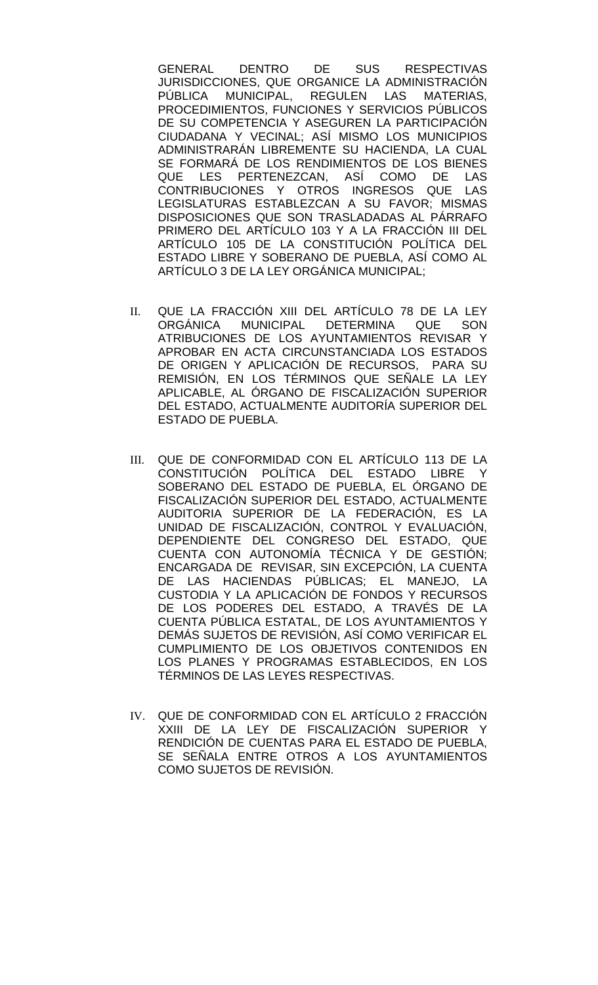GENERAL DENTRO DE SUS RESPECTIVAS JURISDICCIONES, QUE ORGANICE LA ADMINISTRACIÓN<br>PÚBLICA MUNICIPAL. REGULEN LAS MATERIAS. PÚBLICA MUNICIPAL, REGULEN LAS PROCEDIMIENTOS, FUNCIONES Y SERVICIOS PÚBLICOS DE SU COMPETENCIA Y ASEGUREN LA PARTICIPACIÓN CIUDADANA Y VECINAL; ASÍ MISMO LOS MUNICIPIOS ADMINISTRARÁN LIBREMENTE SU HACIENDA, LA CUAL SE FORMARÁ DE LOS RENDIMIENTOS DE LOS BIENES QUE LES PERTENEZCAN, ASÍ COMO DE LAS CONTRIBUCIONES Y OTROS INGRESOS QUE LAS LEGISLATURAS ESTABLEZCAN A SU FAVOR; MISMAS DISPOSICIONES QUE SON TRASLADADAS AL PÁRRAFO PRIMERO DEL ARTÍCULO 103 Y A LA FRACCIÓN III DEL ARTÍCULO 105 DE LA CONSTITUCIÓN POLÍTICA DEL ESTADO LIBRE Y SOBERANO DE PUEBLA, ASÍ COMO AL ARTÍCULO 3 DE LA LEY ORGÁNICA MUNICIPAL;

- II. QUE LA FRACCIÓN XIII DEL ARTÍCULO 78 DE LA LEY ORGÁNICA MUNICIPAL DETERMINA QUE SON ATRIBUCIONES DE LOS AYUNTAMIENTOS REVISAR Y APROBAR EN ACTA CIRCUNSTANCIADA LOS ESTADOS DE ORIGEN Y APLICACIÓN DE RECURSOS, PARA SU REMISIÓN, EN LOS TÉRMINOS QUE SEÑALE LA LEY APLICABLE, AL ÓRGANO DE FISCALIZACIÓN SUPERIOR DEL ESTADO, ACTUALMENTE AUDITORÍA SUPERIOR DEL ESTADO DE PUEBLA.
- III. QUE DE CONFORMIDAD CON EL ARTÍCULO 113 DE LA CONSTITUCIÓN POLÍTICA DEL ESTADO LIBRE SOBERANO DEL ESTADO DE PUEBLA, EL ÓRGANO DE FISCALIZACIÓN SUPERIOR DEL ESTADO, ACTUALMENTE AUDITORIA SUPERIOR DE LA FEDERACIÓN, ES LA UNIDAD DE FISCALIZACIÓN, CONTROL Y EVALUACIÓN, DEPENDIENTE DEL CONGRESO DEL ESTADO, QUE CUENTA CON AUTONOMÍA TÉCNICA Y DE GESTIÓN; ENCARGADA DE REVISAR, SIN EXCEPCIÓN, LA CUENTA DE LAS HACIENDAS PÚBLICAS; EL MANEJO, LA CUSTODIA Y LA APLICACIÓN DE FONDOS Y RECURSOS DE LOS PODERES DEL ESTADO, A TRAVÉS DE LA CUENTA PÚBLICA ESTATAL, DE LOS AYUNTAMIENTOS Y DEMÁS SUJETOS DE REVISIÓN, ASÍ COMO VERIFICAR EL CUMPLIMIENTO DE LOS OBJETIVOS CONTENIDOS EN LOS PLANES Y PROGRAMAS ESTABLECIDOS, EN LOS TÉRMINOS DE LAS LEYES RESPECTIVAS.
- IV. QUE DE CONFORMIDAD CON EL ARTÍCULO 2 FRACCIÓN XXIII DE LA LEY DE FISCALIZACIÓN SUPERIOR Y RENDICIÓN DE CUENTAS PARA EL ESTADO DE PUEBLA, SE SEÑALA ENTRE OTROS A LOS AYUNTAMIENTOS COMO SUJETOS DE REVISIÓN.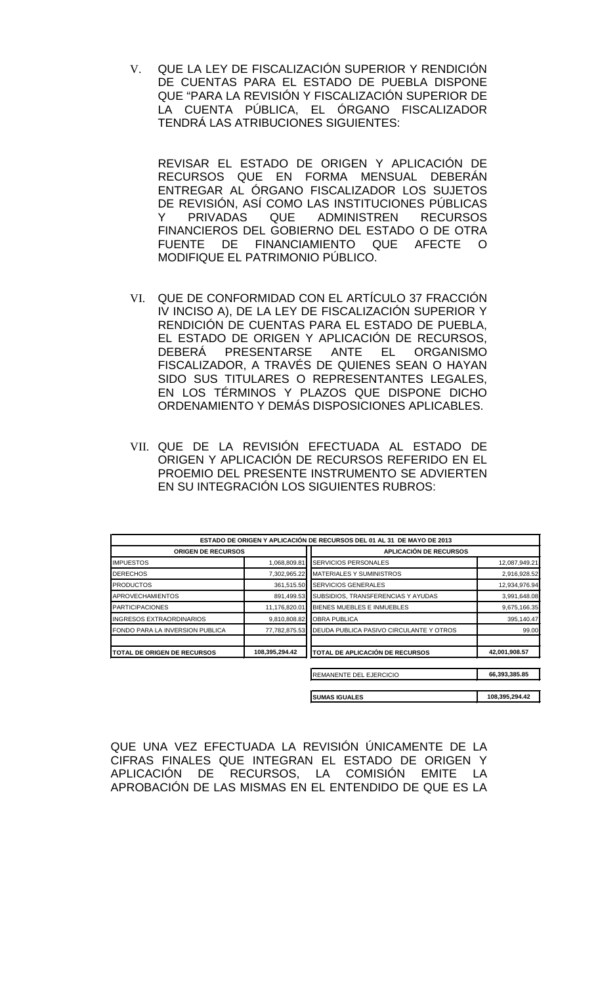V. QUE LA LEY DE FISCALIZACIÓN SUPERIOR Y RENDICIÓN DE CUENTAS PARA EL ESTADO DE PUEBLA DISPONE QUE "PARA LA REVISIÓN Y FISCALIZACIÓN SUPERIOR DE LA CUENTA PÚBLICA, EL ÓRGANO FISCALIZADOR TENDRÁ LAS ATRIBUCIONES SIGUIENTES:

REVISAR EL ESTADO DE ORIGEN Y APLICACIÓN DE RECURSOS QUE EN FORMA MENSUAL DEBERÁN ENTREGAR AL ÓRGANO FISCALIZADOR LOS SUJETOS DE REVISIÓN, ASÍ COMO LAS INSTITUCIONES PÚBLICAS Y PRIVADAS QUE ADMINISTREN RECURSOS FINANCIEROS DEL GOBIERNO DEL ESTADO O DE OTRA FUENTE DE FINANCIAMIENTO QUE AFECTE O MODIFIQUE EL PATRIMONIO PÚBLICO.

- VI. QUE DE CONFORMIDAD CON EL ARTÍCULO 37 FRACCIÓN IV INCISO A), DE LA LEY DE FISCALIZACIÓN SUPERIOR Y RENDICIÓN DE CUENTAS PARA EL ESTADO DE PUEBLA, EL ESTADO DE ORIGEN Y APLICACIÓN DE RECURSOS, DEBERÁ PRESENTARSE ANTE EL ORGANISMO FISCALIZADOR, A TRAVÉS DE QUIENES SEAN O HAYAN SIDO SUS TITULARES O REPRESENTANTES LEGALES, EN LOS TÉRMINOS Y PLAZOS QUE DISPONE DICHO ORDENAMIENTO Y DEMÁS DISPOSICIONES APLICABLES.
- VII. QUE DE LA REVISIÓN EFECTUADA AL ESTADO DE ORIGEN Y APLICACIÓN DE RECURSOS REFERIDO EN EL PROEMIO DEL PRESENTE INSTRUMENTO SE ADVIERTEN EN SU INTEGRACIÓN LOS SIGUIENTES RUBROS:

|                                     |                | ESTADO DE ORIGEN Y APLICACIÓN DE RECURSOS DEL 01 AL 31 DE MAYO DE 2013 |               |
|-------------------------------------|----------------|------------------------------------------------------------------------|---------------|
| <b>ORIGEN DE RECURSOS</b>           |                | <b>APLICACIÓN DE RECURSOS</b>                                          |               |
| <b>IMPUESTOS</b>                    | 1,068,809.81   | SERVICIOS PERSONALES                                                   | 12,087,949.21 |
| <b>DERECHOS</b>                     | 7,302,965.22   | <b>MATERIALES Y SUMINISTROS</b>                                        | 2,916,928.52  |
| <b>PRODUCTOS</b>                    | 361,515.50     | <b>SERVICIOS GENERALES</b>                                             | 12,934,976.94 |
| <b>APROVECHAMIENTOS</b>             | 891,499.53     | SUBSIDIOS, TRANSFERENCIAS Y AYUDAS                                     | 3,991,648.08  |
| <b>PARTICIPACIONES</b>              | 11,176,820.01  | BIENES MUEBLES E INMUEBLES                                             | 9,675,166.35  |
| <b>INGRESOS EXTRAORDINARIOS</b>     | 9,810,808.82   | <b>OBRA PUBLICA</b>                                                    | 395,140.47    |
| FONDO PARA LA INVERSION PUBLICA     | 77,782,875.53  | DEUDA PUBLICA PASIVO CIRCULANTE Y OTROS                                | 99.00         |
| <b>ITOTAL DE ORIGEN DE RECURSOS</b> | 108,395,294.42 | <b>ITOTAL DE APLICACIÓN DE RECURSOS</b>                                | 42,001,908.57 |
|                                     |                |                                                                        |               |
|                                     |                | REMANENTE DEL EJERCICIO                                                | 66,393,385.85 |

| <b>I</b> SUMAS IGUALES | 108,395,294.42 |
|------------------------|----------------|

QUE UNA VEZ EFECTUADA LA REVISIÓN ÚNICAMENTE DE LA CIFRAS FINALES QUE INTEGRAN EL ESTADO DE ORIGEN Y APLICACIÓN DE RECURSOS, LA COMISIÓN EMITE LA APROBACIÓN DE LAS MISMAS EN EL ENTENDIDO DE QUE ES LA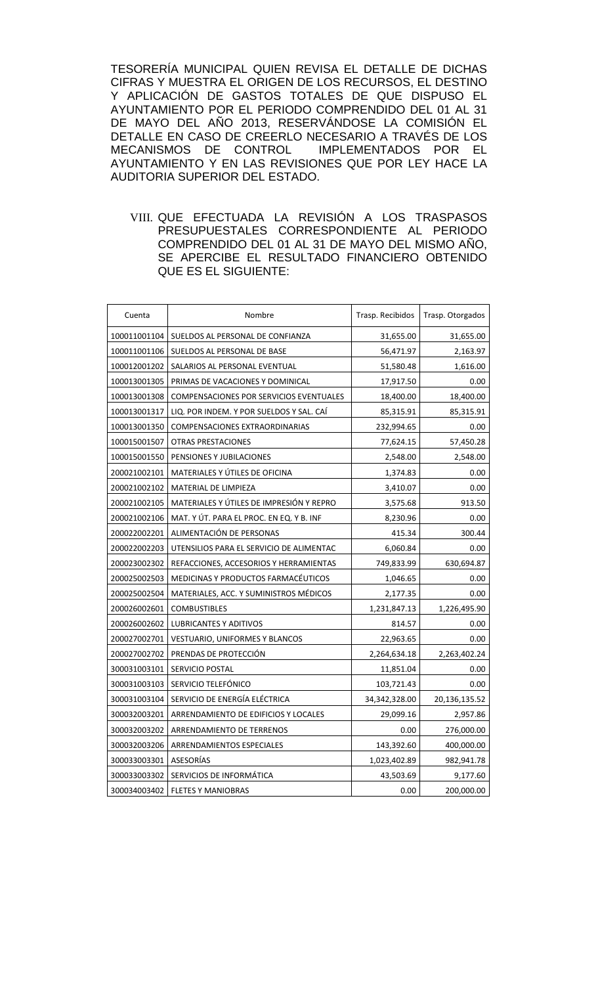TESORERÍA MUNICIPAL QUIEN REVISA EL DETALLE DE DICHAS CIFRAS Y MUESTRA EL ORIGEN DE LOS RECURSOS, EL DESTINO Y APLICACIÓN DE GASTOS TOTALES DE QUE DISPUSO EL AYUNTAMIENTO POR EL PERIODO COMPRENDIDO DEL 01 AL 31 DE MAYO DEL AÑO 2013, RESERVÁNDOSE LA COMISIÓN EL DETALLE EN CASO DE CREERLO NECESARIO A TRAVÉS DE LOS<br>MECANISMOS DE CONTROL IMPLEMENTADOS POR EL IMPLEMENTADOS POR EL AYUNTAMIENTO Y EN LAS REVISIONES QUE POR LEY HACE LA AUDITORIA SUPERIOR DEL ESTADO.

VIII. QUE EFECTUADA LA REVISIÓN A LOS TRASPASOS PRESUPUESTALES CORRESPONDIENTE AL PERIODO COMPRENDIDO DEL 01 AL 31 DE MAYO DEL MISMO AÑO, SE APERCIBE EL RESULTADO FINANCIERO OBTENIDO QUE ES EL SIGUIENTE:

| Cuenta       | Nombre                                   | Trasp. Recibidos | Trasp. Otorgados |
|--------------|------------------------------------------|------------------|------------------|
| 100011001104 | SUELDOS AL PERSONAL DE CONFIANZA         | 31,655.00        | 31,655.00        |
| 100011001106 | SUELDOS AL PERSONAL DE BASE              | 56,471.97        | 2,163.97         |
| 100012001202 | SALARIOS AL PERSONAL EVENTUAL            | 51,580.48        | 1,616.00         |
| 100013001305 | PRIMAS DE VACACIONES Y DOMINICAL         | 17,917.50        | 0.00             |
| 100013001308 | COMPENSACIONES POR SERVICIOS EVENTUALES  | 18,400.00        | 18,400.00        |
| 100013001317 | LIQ. POR INDEM. Y POR SUELDOS Y SAL. CAI | 85,315.91        | 85,315.91        |
| 100013001350 | <b>COMPENSACIONES EXTRAORDINARIAS</b>    | 232,994.65       | 0.00             |
| 100015001507 | <b>OTRAS PRESTACIONES</b>                | 77,624.15        | 57,450.28        |
| 100015001550 | PENSIONES Y JUBILACIONES                 | 2,548.00         | 2,548.00         |
| 200021002101 | MATERIALES Y ÚTILES DE OFICINA           | 1,374.83         | 0.00             |
| 200021002102 | MATERIAL DE LIMPIEZA                     | 3,410.07         | 0.00             |
| 200021002105 | MATERIALES Y ÚTILES DE IMPRESIÓN Y REPRO | 3,575.68         | 913.50           |
| 200021002106 | MAT. Y ÚT. PARA EL PROC. EN EQ. Y B. INF | 8,230.96         | 0.00             |
| 200022002201 | ALIMENTACIÓN DE PERSONAS                 | 415.34           | 300.44           |
| 200022002203 | UTENSILIOS PARA EL SERVICIO DE ALIMENTAC | 6,060.84         | 0.00             |
| 200023002302 | REFACCIONES, ACCESORIOS Y HERRAMIENTAS   | 749,833.99       | 630,694.87       |
| 200025002503 | MEDICINAS Y PRODUCTOS FARMACÉUTICOS      | 1,046.65         | 0.00             |
| 200025002504 | MATERIALES, ACC. Y SUMINISTROS MÉDICOS   | 2,177.35         | 0.00             |
| 200026002601 | <b>COMBUSTIBLES</b>                      | 1,231,847.13     | 1,226,495.90     |
| 200026002602 | LUBRICANTES Y ADITIVOS                   | 814.57           | 0.00             |
| 200027002701 | <b>VESTUARIO, UNIFORMES Y BLANCOS</b>    | 22,963.65        | 0.00             |
| 200027002702 | PRENDAS DE PROTECCIÓN                    | 2,264,634.18     | 2,263,402.24     |
| 300031003101 | SERVICIO POSTAL                          | 11,851.04        | 0.00             |
| 300031003103 | SERVICIO TELEFÓNICO                      | 103,721.43       | 0.00             |
| 300031003104 | SERVICIO DE ENERGÍA ELÉCTRICA            | 34,342,328.00    | 20,136,135.52    |
| 300032003201 | ARRENDAMIENTO DE EDIFICIOS Y LOCALES     | 29,099.16        | 2,957.86         |
| 300032003202 | ARRENDAMIENTO DE TERRENOS                | 0.00             | 276,000.00       |
| 300032003206 | ARRENDAMIENTOS ESPECIALES                | 143,392.60       | 400,000.00       |
| 300033003301 | ASESORÍAS                                | 1,023,402.89     | 982,941.78       |
| 300033003302 | SERVICIOS DE INFORMÁTICA                 | 43,503.69        | 9,177.60         |
| 300034003402 | <b>FLETES Y MANIOBRAS</b>                | 0.00             | 200,000.00       |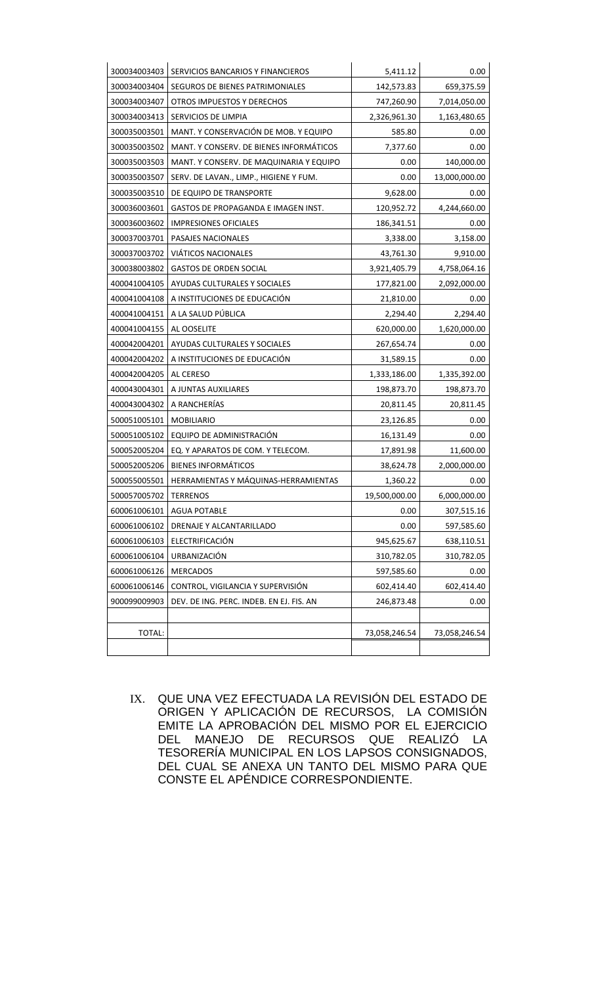| 300034003403 | SERVICIOS BANCARIOS Y FINANCIEROS        | 5,411.12      | 0.00          |
|--------------|------------------------------------------|---------------|---------------|
| 300034003404 | SEGUROS DE BIENES PATRIMONIALES          | 142,573.83    | 659,375.59    |
| 300034003407 | OTROS IMPUESTOS Y DERECHOS               | 747,260.90    | 7,014,050.00  |
| 300034003413 | SERVICIOS DE LIMPIA                      | 2,326,961.30  | 1,163,480.65  |
| 300035003501 | MANT. Y CONSERVACIÓN DE MOB. Y EQUIPO    | 585.80        | 0.00          |
| 300035003502 | MANT. Y CONSERV. DE BIENES INFORMÁTICOS  | 7,377.60      | 0.00          |
| 300035003503 | MANT. Y CONSERV. DE MAQUINARIA Y EQUIPO  | 0.00          | 140,000.00    |
| 300035003507 | SERV. DE LAVAN., LIMP., HIGIENE Y FUM.   | 0.00          | 13,000,000.00 |
| 300035003510 | DE EQUIPO DE TRANSPORTE                  | 9,628.00      | 0.00          |
| 300036003601 | GASTOS DE PROPAGANDA E IMAGEN INST.      | 120,952.72    | 4,244,660.00  |
| 300036003602 | <b>IMPRESIONES OFICIALES</b>             | 186,341.51    | 0.00          |
| 300037003701 | PASAJES NACIONALES                       | 3,338.00      | 3,158.00      |
| 300037003702 | <b>VIATICOS NACIONALES</b>               | 43,761.30     | 9,910.00      |
| 300038003802 | <b>GASTOS DE ORDEN SOCIAL</b>            | 3,921,405.79  | 4,758,064.16  |
| 400041004105 | AYUDAS CULTURALES Y SOCIALES             | 177,821.00    | 2,092,000.00  |
| 400041004108 | A INSTITUCIONES DE EDUCACIÓN             | 21,810.00     | 0.00          |
| 400041004151 | A LA SALUD PÚBLICA                       | 2,294.40      | 2,294.40      |
| 400041004155 | AL OOSELITE                              | 620,000.00    | 1,620,000.00  |
| 400042004201 | AYUDAS CULTURALES Y SOCIALES             | 267,654.74    | 0.00          |
| 400042004202 | A INSTITUCIONES DE EDUCACIÓN             | 31,589.15     | 0.00          |
| 400042004205 | AL CERESO                                | 1,333,186.00  | 1,335,392.00  |
| 400043004301 | A JUNTAS AUXILIARES                      | 198,873.70    | 198,873.70    |
| 400043004302 | A RANCHERÍAS                             | 20,811.45     | 20,811.45     |
| 500051005101 | <b>MOBILIARIO</b>                        | 23,126.85     | 0.00          |
| 500051005102 | EQUIPO DE ADMINISTRACIÓN                 | 16,131.49     | 0.00          |
| 500052005204 | EQ. Y APARATOS DE COM. Y TELECOM.        | 17,891.98     | 11,600.00     |
| 500052005206 | <b>BIENES INFORMÁTICOS</b>               | 38,624.78     | 2,000,000.00  |
| 500055005501 | HERRAMIENTAS Y MÁQUINAS-HERRAMIENTAS     | 1,360.22      | 0.00          |
| 500057005702 | <b>TERRENOS</b>                          | 19,500,000.00 | 6,000,000.00  |
| 600061006101 | <b>AGUA POTABLE</b>                      | 0.00          | 307,515.16    |
| 600061006102 | DRENAJE Y ALCANTARILLADO                 | 0.00          | 597,585.60    |
| 600061006103 | ELECTRIFICACIÓN                          | 945,625.67    | 638,110.51    |
| 600061006104 | URBANIZACIÓN                             | 310,782.05    | 310,782.05    |
| 600061006126 | <b>MERCADOS</b>                          | 597,585.60    | 0.00          |
| 600061006146 | CONTROL, VIGILANCIA Y SUPERVISIÓN        | 602,414.40    | 602,414.40    |
| 900099009903 | DEV. DE ING. PERC. INDEB. EN EJ. FIS. AN | 246,873.48    | 0.00          |
|              |                                          |               |               |
| TOTAL:       |                                          | 73,058,246.54 | 73,058,246.54 |
|              |                                          |               |               |

IX. QUE UNA VEZ EFECTUADA LA REVISIÓN DEL ESTADO DE ORIGEN Y APLICACIÓN DE RECURSOS, LA COMISIÓN EMITE LA APROBACIÓN DEL MISMO POR EL EJERCICIO DEL MANEJO DE RECURSOS QUE REALIZÓ LA TESORERÍA MUNICIPAL EN LOS LAPSOS CONSIGNADOS, DEL CUAL SE ANEXA UN TANTO DEL MISMO PARA QUE CONSTE EL APÉNDICE CORRESPONDIENTE.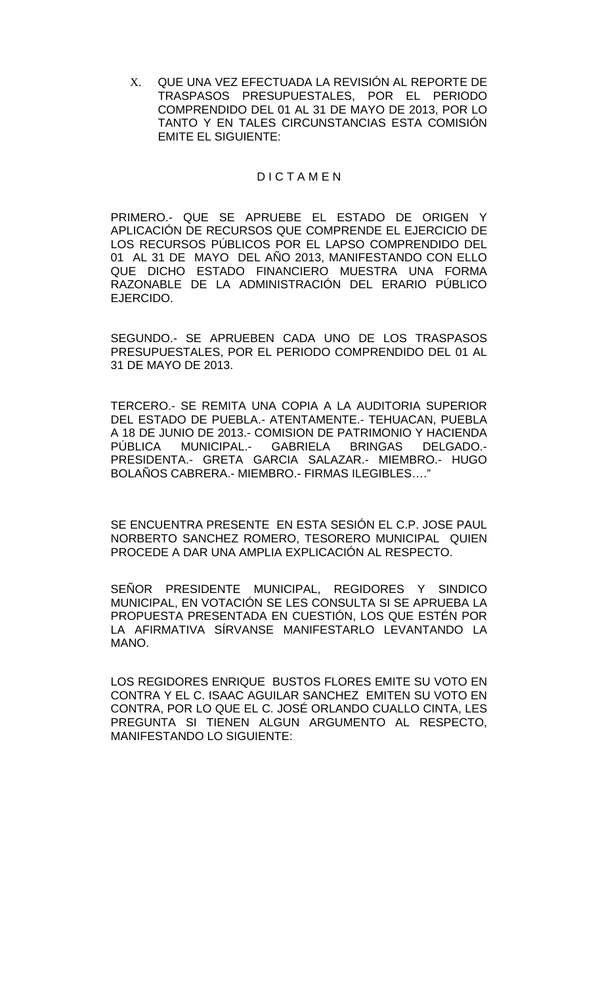X. QUE UNA VEZ EFECTUADA LA REVISIÓN AL REPORTE DE TRASPASOS PRESUPUESTALES, POR EL PERIODO COMPRENDIDO DEL 01 AL 31 DE MAYO DE 2013, POR LO TANTO Y EN TALES CIRCUNSTANCIAS ESTA COMISIÓN EMITE EL SIGUIENTE:

### D I C T A M E N

PRIMERO.- QUE SE APRUEBE EL ESTADO DE ORIGEN Y APLICACIÓN DE RECURSOS QUE COMPRENDE EL EJERCICIO DE LOS RECURSOS PÚBLICOS POR EL LAPSO COMPRENDIDO DEL 01 AL 31 DE MAYO DEL AÑO 2013, MANIFESTANDO CON ELLO QUE DICHO ESTADO FINANCIERO MUESTRA UNA FORMA RAZONABLE DE LA ADMINISTRACIÓN DEL ERARIO PÚBLICO EJERCIDO.

SEGUNDO.- SE APRUEBEN CADA UNO DE LOS TRASPASOS PRESUPUESTALES, POR EL PERIODO COMPRENDIDO DEL 01 AL 31 DE MAYO DE 2013.

TERCERO.- SE REMITA UNA COPIA A LA AUDITORIA SUPERIOR DEL ESTADO DE PUEBLA.- ATENTAMENTE.- TEHUACAN, PUEBLA A 18 DE JUNIO DE 2013.- COMISION DE PATRIMONIO Y HACIENDA PÚBLICA MUNICIPAL.- GABRIELA BRINGAS DELGADO.- PRESIDENTA.- GRETA GARCIA SALAZAR.- MIEMBRO.- HUGO BOLAÑOS CABRERA.- MIEMBRO.- FIRMAS ILEGIBLES…."

SE ENCUENTRA PRESENTE EN ESTA SESIÓN EL C.P. JOSE PAUL NORBERTO SANCHEZ ROMERO, TESORERO MUNICIPAL QUIEN PROCEDE A DAR UNA AMPLIA EXPLICACIÓN AL RESPECTO.

SEÑOR PRESIDENTE MUNICIPAL, REGIDORES Y SINDICO MUNICIPAL, EN VOTACIÓN SE LES CONSULTA SI SE APRUEBA LA PROPUESTA PRESENTADA EN CUESTIÓN, LOS QUE ESTÉN POR LA AFIRMATIVA SÍRVANSE MANIFESTARLO LEVANTANDO LA MANO.

LOS REGIDORES ENRIQUE BUSTOS FLORES EMITE SU VOTO EN CONTRA Y EL C. ISAAC AGUILAR SANCHEZ EMITEN SU VOTO EN CONTRA, POR LO QUE EL C. JOSÉ ORLANDO CUALLO CINTA, LES PREGUNTA SI TIENEN ALGUN ARGUMENTO AL RESPECTO, MANIFESTANDO LO SIGUIENTE: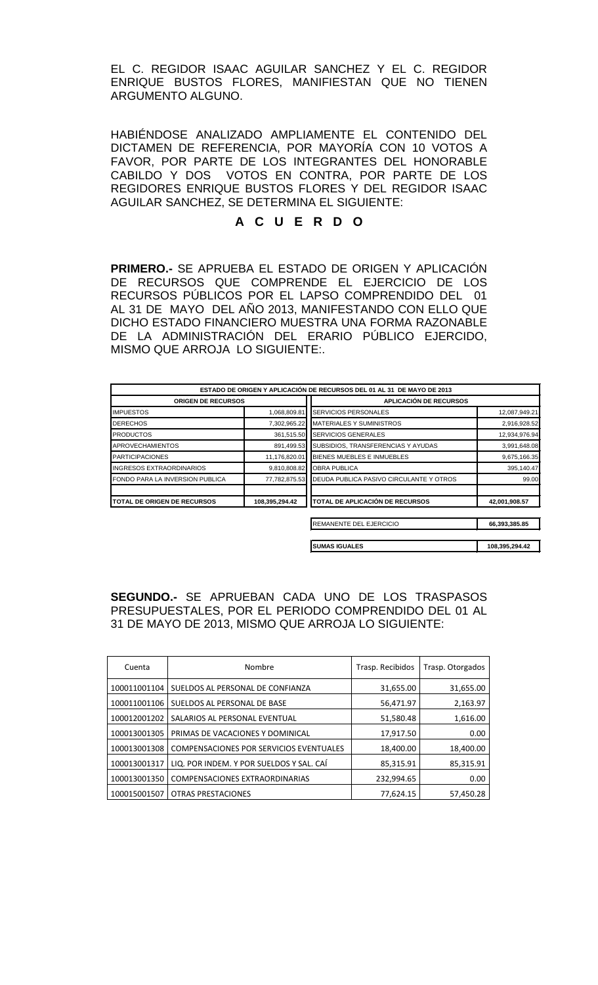EL C. REGIDOR ISAAC AGUILAR SANCHEZ Y EL C. REGIDOR ENRIQUE BUSTOS FLORES, MANIFIESTAN QUE NO TIENEN ARGUMENTO ALGUNO.

HABIÉNDOSE ANALIZADO AMPLIAMENTE EL CONTENIDO DEL DICTAMEN DE REFERENCIA, POR MAYORÍA CON 10 VOTOS A FAVOR, POR PARTE DE LOS INTEGRANTES DEL HONORABLE CABILDO Y DOS VOTOS EN CONTRA, POR PARTE DE LOS REGIDORES ENRIQUE BUSTOS FLORES Y DEL REGIDOR ISAAC AGUILAR SANCHEZ, SE DETERMINA EL SIGUIENTE:

# **A C U E R D O**

**PRIMERO.-** SE APRUEBA EL ESTADO DE ORIGEN Y APLICACIÓN DE RECURSOS QUE COMPRENDE EL EJERCICIO DE LOS RECURSOS PÚBLICOS POR EL LAPSO COMPRENDIDO DEL 01 AL 31 DE MAYO DEL AÑO 2013, MANIFESTANDO CON ELLO QUE DICHO ESTADO FINANCIERO MUESTRA UNA FORMA RAZONABLE DE LA ADMINISTRACIÓN DEL ERARIO PÚBLICO EJERCIDO, MISMO QUE ARROJA LO SIGUIENTE:.

| ESTADO DE ORIGEN Y APLICACIÓN DE RECURSOS DEL 01 AL 31 DE MAYO DE 2013 |                |                                         |                |
|------------------------------------------------------------------------|----------------|-----------------------------------------|----------------|
| <b>ORIGEN DE RECURSOS</b>                                              |                | <b>APLICACIÓN DE RECURSOS</b>           |                |
| <b>IMPUESTOS</b>                                                       | 1,068,809.81   | <b>SERVICIOS PERSONALES</b>             | 12,087,949.21  |
| <b>DERECHOS</b>                                                        | 7,302,965.22   | <b>MATERIALES Y SUMINISTROS</b>         | 2,916,928.52   |
| <b>PRODUCTOS</b>                                                       | 361,515.50     | <b>SERVICIOS GENERALES</b>              | 12,934,976.94  |
| <b>APROVECHAMIENTOS</b>                                                | 891,499.53     | SUBSIDIOS, TRANSFERENCIAS Y AYUDAS      | 3,991,648.08   |
| <b>PARTICIPACIONES</b>                                                 | 11,176,820.01  | BIENES MUEBLES E INMUEBLES              | 9,675,166.35   |
| <b>INGRESOS EXTRAORDINARIOS</b>                                        | 9,810,808.82   | <b>OBRA PUBLICA</b>                     | 395,140.47     |
| FONDO PARA LA INVERSION PUBLICA                                        | 77,782,875.53  | DEUDA PUBLICA PASIVO CIRCULANTE Y OTROS | 99.00          |
| <b>TOTAL DE ORIGEN DE RECURSOS</b>                                     | 108,395,294.42 | TOTAL DE APLICACIÓN DE RECURSOS         | 42,001,908.57  |
|                                                                        |                | REMANENTE DEL EJERCICIO                 | 66,393,385.85  |
|                                                                        |                | <b>SUMAS IGUALES</b>                    | 108,395,294.42 |

**SEGUNDO.-** SE APRUEBAN CADA UNO DE LOS TRASPASOS PRESUPUESTALES, POR EL PERIODO COMPRENDIDO DEL 01 AL 31 DE MAYO DE 2013, MISMO QUE ARROJA LO SIGUIENTE:

| Cuenta       | Nombre                                   | Trasp. Recibidos | Trasp. Otorgados |
|--------------|------------------------------------------|------------------|------------------|
| 100011001104 | SUELDOS AL PERSONAL DE CONFIANZA         | 31,655.00        | 31,655.00        |
| 100011001106 | SUELDOS AL PERSONAL DE BASE              | 56,471.97        | 2,163.97         |
| 100012001202 | SALARIOS AL PERSONAL EVENTUAL            | 51,580.48        | 1,616.00         |
| 100013001305 | PRIMAS DE VACACIONES Y DOMINICAL         | 17,917.50        | 0.00             |
| 100013001308 | COMPENSACIONES POR SERVICIOS EVENTUALES  | 18,400.00        | 18,400.00        |
| 100013001317 | LIQ. POR INDEM. Y POR SUELDOS Y SAL. CAÍ | 85,315.91        | 85,315.91        |
| 100013001350 | <b>COMPENSACIONES EXTRAORDINARIAS</b>    | 232,994.65       | 0.00             |
| 100015001507 | <b>OTRAS PRESTACIONES</b>                | 77,624.15        | 57,450.28        |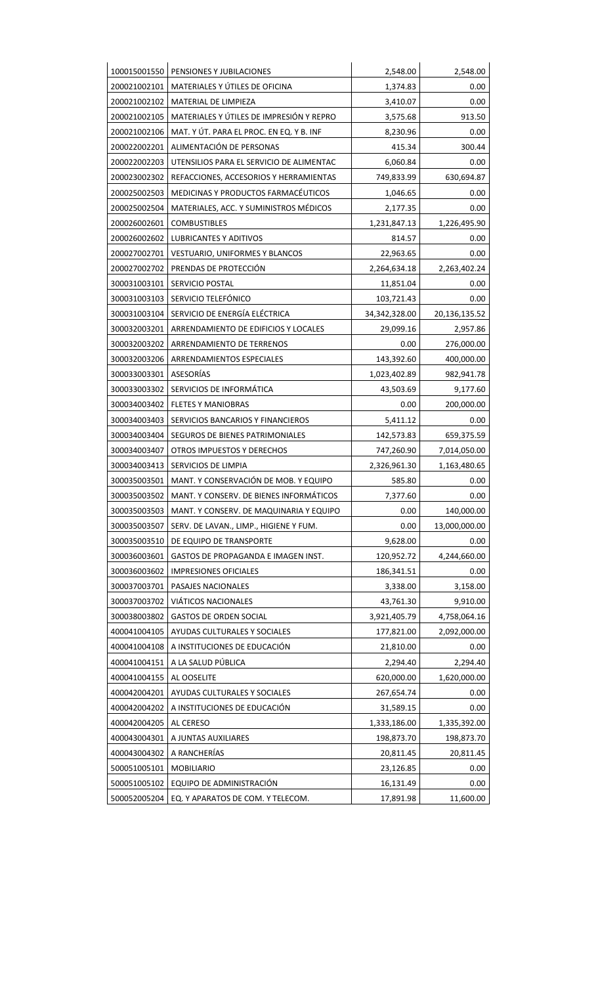| 100015001550 | PENSIONES Y JUBILACIONES                 | 2,548.00        | 2,548.00      |
|--------------|------------------------------------------|-----------------|---------------|
| 200021002101 | MATERIALES Y ÚTILES DE OFICINA           | 1,374.83        | 0.00          |
| 200021002102 | MATERIAL DE LIMPIEZA                     | 3,410.07        | 0.00          |
| 200021002105 | MATERIALES Y ÚTILES DE IMPRESIÓN Y REPRO | 3,575.68        | 913.50        |
| 200021002106 | MAT. Y ÚT. PARA EL PROC. EN EQ. Y B. INF | 8,230.96        | 0.00          |
| 200022002201 | ALIMENTACIÓN DE PERSONAS                 | 415.34          | 300.44        |
| 200022002203 | UTENSILIOS PARA EL SERVICIO DE ALIMENTAC | 6,060.84        | 0.00          |
| 200023002302 | REFACCIONES, ACCESORIOS Y HERRAMIENTAS   | 749,833.99      | 630,694.87    |
| 200025002503 | MEDICINAS Y PRODUCTOS FARMACÉUTICOS      | 1,046.65        | 0.00          |
| 200025002504 | MATERIALES, ACC. Y SUMINISTROS MÉDICOS   | 2,177.35        | 0.00          |
| 200026002601 | <b>COMBUSTIBLES</b>                      | 1,231,847.13    | 1,226,495.90  |
| 200026002602 | LUBRICANTES Y ADITIVOS                   | 814.57          | 0.00          |
| 200027002701 | VESTUARIO, UNIFORMES Y BLANCOS           | 22,963.65       | 0.00          |
| 200027002702 | PRENDAS DE PROTECCIÓN                    | 2,264,634.18    | 2,263,402.24  |
| 300031003101 | SERVICIO POSTAL                          | 11,851.04       | 0.00          |
| 300031003103 | SERVICIO TELEFÓNICO                      | 103,721.43      | 0.00          |
| 300031003104 | SERVICIO DE ENERGÍA ELÉCTRICA            | 34, 342, 328.00 | 20,136,135.52 |
| 300032003201 | ARRENDAMIENTO DE EDIFICIOS Y LOCALES     | 29,099.16       | 2,957.86      |
| 300032003202 | ARRENDAMIENTO DE TERRENOS                | 0.00            | 276,000.00    |
| 300032003206 | ARRENDAMIENTOS ESPECIALES                | 143,392.60      | 400,000.00    |
| 300033003301 | ASESORÍAS                                | 1,023,402.89    | 982,941.78    |
| 300033003302 | SERVICIOS DE INFORMÁTICA                 | 43,503.69       | 9,177.60      |
| 300034003402 | <b>FLETES Y MANIOBRAS</b>                | 0.00            | 200,000.00    |
| 300034003403 | SERVICIOS BANCARIOS Y FINANCIEROS        | 5,411.12        | 0.00          |
| 300034003404 | SEGUROS DE BIENES PATRIMONIALES          | 142,573.83      | 659,375.59    |
| 300034003407 | OTROS IMPUESTOS Y DERECHOS               | 747,260.90      | 7,014,050.00  |
| 300034003413 | SERVICIOS DE LIMPIA                      | 2,326,961.30    | 1,163,480.65  |
| 300035003501 | MANT. Y CONSERVACIÓN DE MOB. Y EQUIPO    | 585.80          | 0.00          |
| 300035003502 | MANT. Y CONSERV. DE BIENES INFORMÁTICOS  | 7,377.60        | 0.00          |
| 300035003503 | MANT. Y CONSERV. DE MAQUINARIA Y EQUIPO  | 0.00            | 140,000.00    |
| 300035003507 | SERV. DE LAVAN., LIMP., HIGIENE Y FUM.   | 0.00            | 13,000,000.00 |
| 300035003510 | DE EQUIPO DE TRANSPORTE                  | 9,628.00        | 0.00          |
| 300036003601 | GASTOS DE PROPAGANDA E IMAGEN INST.      | 120,952.72      | 4,244,660.00  |
| 300036003602 | <b>IMPRESIONES OFICIALES</b>             | 186,341.51      | 0.00          |
| 300037003701 | PASAJES NACIONALES                       | 3,338.00        | 3,158.00      |
| 300037003702 | <b>VIÁTICOS NACIONALES</b>               | 43,761.30       | 9,910.00      |
| 300038003802 | <b>GASTOS DE ORDEN SOCIAL</b>            | 3,921,405.79    | 4,758,064.16  |
| 400041004105 | AYUDAS CULTURALES Y SOCIALES             | 177,821.00      | 2,092,000.00  |
| 400041004108 | A INSTITUCIONES DE EDUCACIÓN             | 21,810.00       | 0.00          |
| 400041004151 | A LA SALUD PÚBLICA                       | 2,294.40        | 2,294.40      |
| 400041004155 | AL OOSELITE                              | 620,000.00      | 1,620,000.00  |
| 400042004201 | AYUDAS CULTURALES Y SOCIALES             | 267,654.74      | 0.00          |
| 400042004202 | A INSTITUCIONES DE EDUCACIÓN             | 31,589.15       | 0.00          |
| 400042004205 | AL CERESO                                | 1,333,186.00    | 1,335,392.00  |
| 400043004301 | A JUNTAS AUXILIARES                      | 198,873.70      | 198,873.70    |
| 400043004302 | A RANCHERÍAS                             | 20,811.45       | 20,811.45     |
| 500051005101 | <b>MOBILIARIO</b>                        | 23,126.85       | 0.00          |
| 500051005102 | EQUIPO DE ADMINISTRACIÓN                 | 16,131.49       | 0.00          |
| 500052005204 | EQ. Y APARATOS DE COM. Y TELECOM.        | 17,891.98       | 11,600.00     |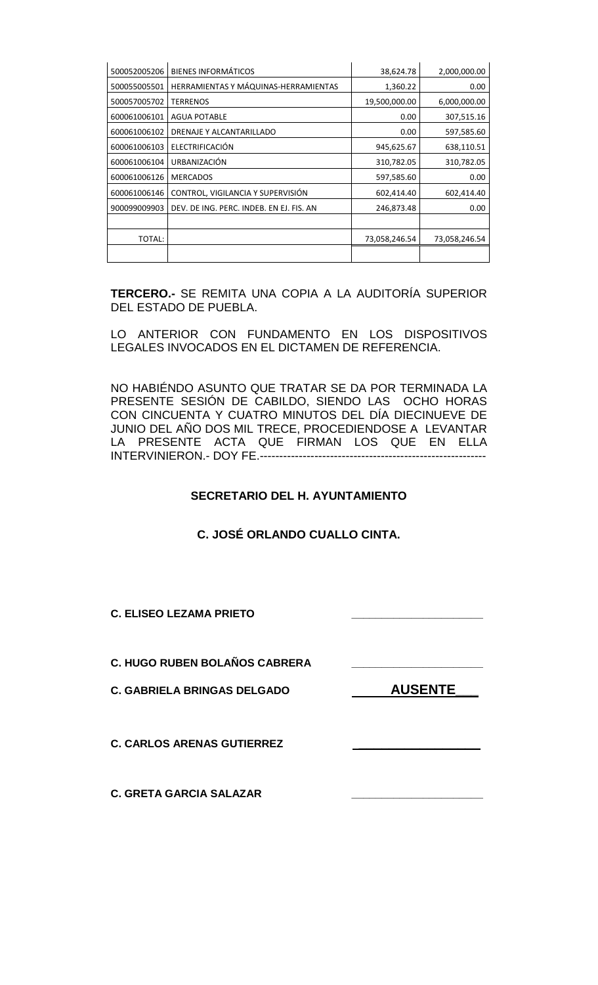| 500052005206 | <b>BIENES INFORMÁTICOS</b>               | 38,624.78     | 2,000,000.00  |
|--------------|------------------------------------------|---------------|---------------|
| 500055005501 | HERRAMIENTAS Y MÁQUINAS-HERRAMIENTAS     | 1,360.22      | 0.00          |
| 500057005702 | <b>TERRENOS</b>                          | 19,500,000.00 | 6,000,000.00  |
| 600061006101 | <b>AGUA POTABLE</b>                      | 0.00          | 307,515.16    |
| 600061006102 | DRENAJE Y ALCANTARILLADO                 | 0.00          | 597,585.60    |
| 600061006103 | ELECTRIFICACIÓN                          | 945,625.67    | 638,110.51    |
| 600061006104 | URBANIZACIÓN                             | 310,782.05    | 310,782.05    |
| 600061006126 | <b>MERCADOS</b>                          | 597,585.60    | 0.00          |
| 600061006146 | CONTROL, VIGILANCIA Y SUPERVISIÓN        | 602,414.40    | 602,414.40    |
| 900099009903 | DEV. DE ING. PERC. INDEB. EN EJ. FIS. AN | 246,873.48    | 0.00          |
|              |                                          |               |               |
| TOTAL:       |                                          | 73,058,246.54 | 73,058,246.54 |
|              |                                          |               |               |

**TERCERO.-** SE REMITA UNA COPIA A LA AUDITORÍA SUPERIOR DEL ESTADO DE PUEBLA.

LO ANTERIOR CON FUNDAMENTO EN LOS DISPOSITIVOS LEGALES INVOCADOS EN EL DICTAMEN DE REFERENCIA.

NO HABIÉNDO ASUNTO QUE TRATAR SE DA POR TERMINADA LA PRESENTE SESIÓN DE CABILDO, SIENDO LAS OCHO HORAS CON CINCUENTA Y CUATRO MINUTOS DEL DÍA DIECINUEVE DE JUNIO DEL AÑO DOS MIL TRECE, PROCEDIENDOSE A LEVANTAR LA PRESENTE ACTA QUE FIRMAN LOS QUE EN ELLA INTERVINIERON.- DOY FE.----------------------------------------------------------

## **SECRETARIO DEL H. AYUNTAMIENTO**

## **C. JOSÉ ORLANDO CUALLO CINTA.**

**C. ELISEO LEZAMA PRIETO \_\_\_\_\_\_\_\_\_\_\_\_\_\_\_\_\_\_\_\_\_\_**

**C. HUGO RUBEN BOLAÑOS CABRERA \_\_\_\_\_\_\_\_\_\_\_\_\_\_\_\_\_\_\_\_\_\_**

C. GABRIELA BRINGAS DELGADO **AUSENTE** 

**C. CARLOS ARENAS GUTIERREZ \_\_\_\_\_\_\_\_\_\_\_\_\_\_\_\_**

**C. GRETA GARCIA SALAZAR \_\_\_\_\_\_\_\_\_\_\_\_\_\_\_\_\_\_\_\_\_\_**